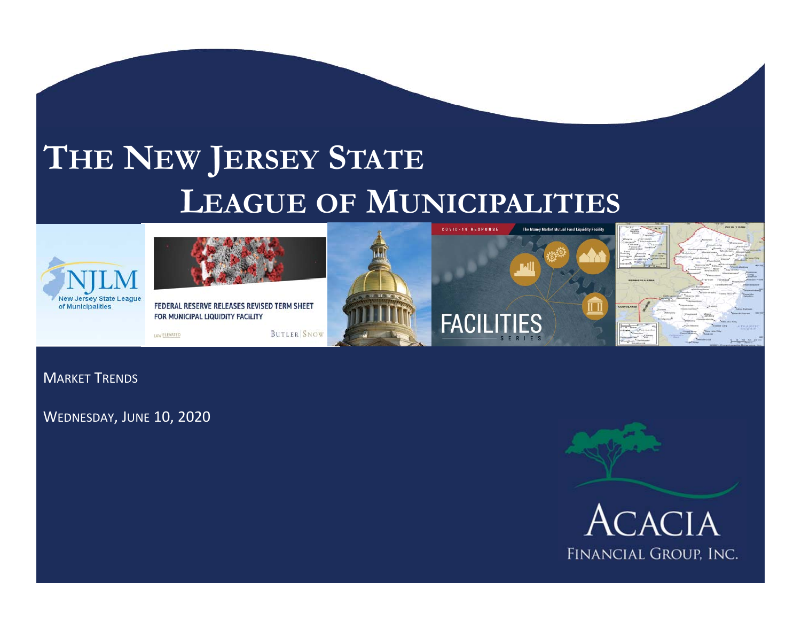# **THE NEW JERSEY STATE LEAGUE OF MUNICIPALITIES**





FEDERAL RESERVE RELEASES REVISED TERM SHEET FOR MUNICIPAL LIQUIDITY FACILITY

LAW ELEVATED







MARKET TRENDS

WEDNESDAY, JUNE 10, 2020



FINANCIAL GROUP, INC.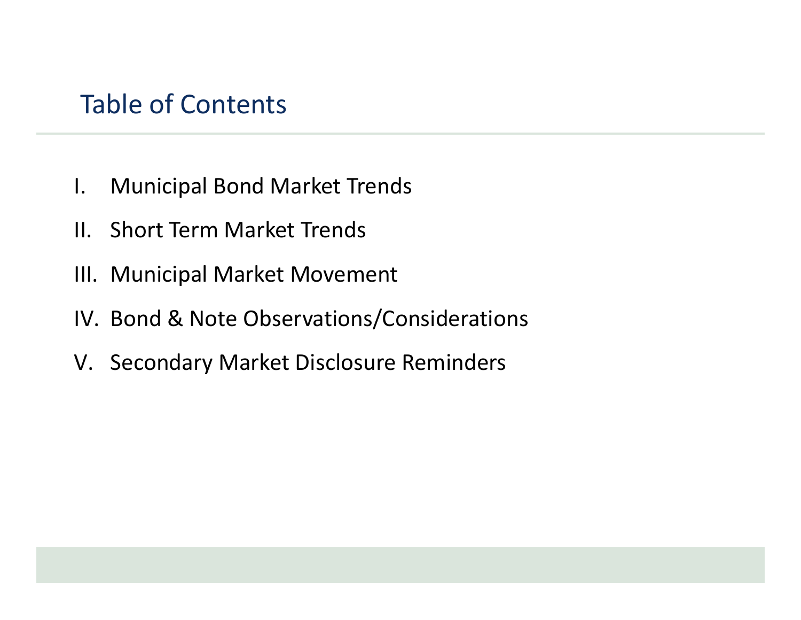## Table of Contents

- I. Municipal Bond Market Trends
- II. Short Term Market Trends
- III. Municipal Market Movement
- IV. Bond & Note Observations/Considerations
- V. Secondary Market Disclosure Reminders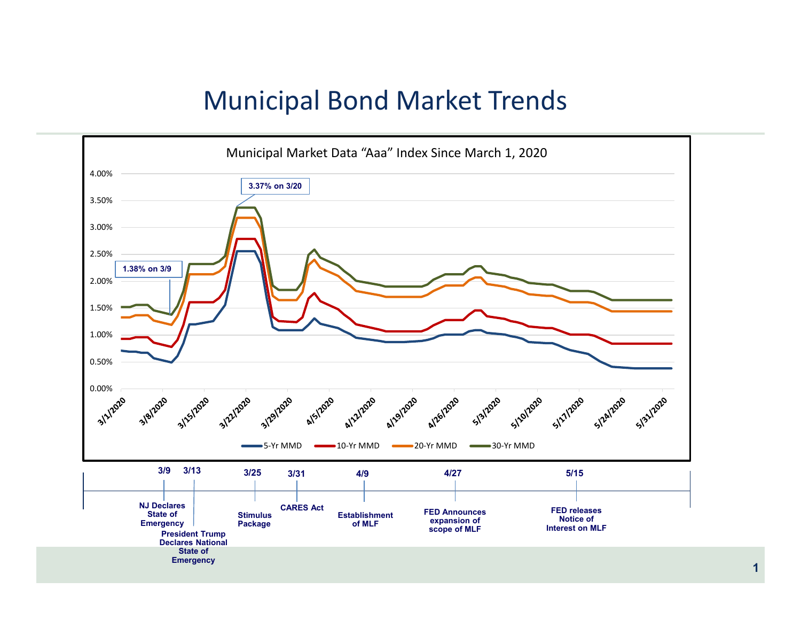### Municipal Bond Market Trends

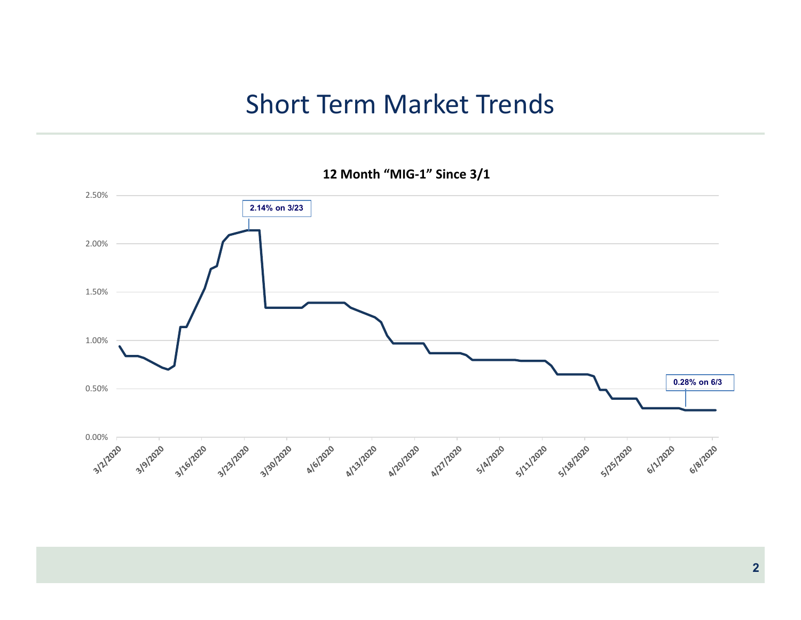### Short Term Market Trends

**12 Month "MIG‐1" Since 3/1**

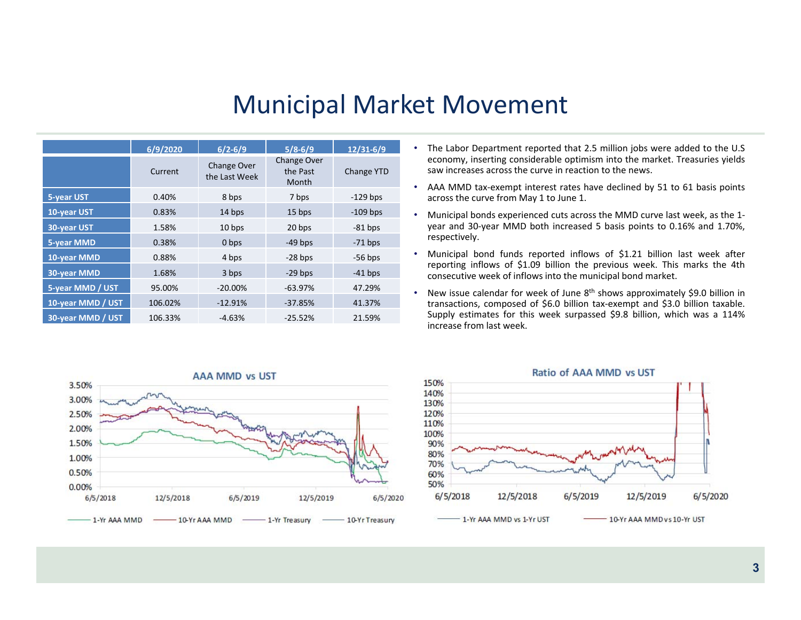### Municipal Market Movement

|                   | 6/9/2020 | $6/2 - 6/9$                         | $5/8 - 6/9$                             | $12/31 - 6/9$ |
|-------------------|----------|-------------------------------------|-----------------------------------------|---------------|
|                   | Current  | <b>Change Over</b><br>the Last Week | <b>Change Over</b><br>the Past<br>Month | Change YTD    |
| 5-year UST        | 0.40%    | 8 bps                               | 7 bps                                   | $-129$ bps    |
| 10-year UST       | 0.83%    | 14 bps                              | 15 bps                                  | $-109$ bps    |
| 30-year UST       | 1.58%    | 10 bps                              | 20 bps                                  | $-81$ bps     |
| <b>5-year MMD</b> | 0.38%    | 0 bps                               | $-49$ bps                               | $-71$ bps     |
| 10-year MMD       | 0.88%    | 4 bps                               | $-28$ bps                               | $-56$ bps     |
| 30-year MMD       | 1.68%    | 3 bps                               | $-29$ bps                               | $-41$ bps     |
| 5-year MMD / UST  | 95.00%   | $-20.00\%$                          | $-63.97%$                               | 47.29%        |
| 10-year MMD / UST | 106.02%  | $-12.91%$                           | $-37.85%$                               | 41.37%        |
| 30-year MMD / UST | 106.33%  | $-4.63%$                            | $-25.52%$                               | 21.59%        |

- The Labor Department reported that 2.5 million jobs were added to the U.S economy, inserting considerable optimism into the market. Treasuries yields saw increases across the curve in reaction to the news.
- AAA MMD tax‐exempt interest rates have declined by 51 to 61 basis points across the curve from May 1 to June 1.
- Municipal bonds experienced cuts across the MMD curve last week, as the 1‐ year and 30‐year MMD both increased 5 basis points to 0.16% and 1.70%, respectively.
- Municipal bond funds reported inflows of \$1.21 billion last week after reporting inflows of \$1.09 billion the previous week. This marks the 4th consecutive week of inflows into the municipal bond market.
- New issue calendar for week of June 8<sup>th</sup> shows approximately \$9.0 billion in transactions, composed of \$6.0 billion tax‐exempt and \$3.0 billion taxable. Supply estimates for this week surpassed \$9.8 billion, which was <sup>a</sup> 114% increase from last week.



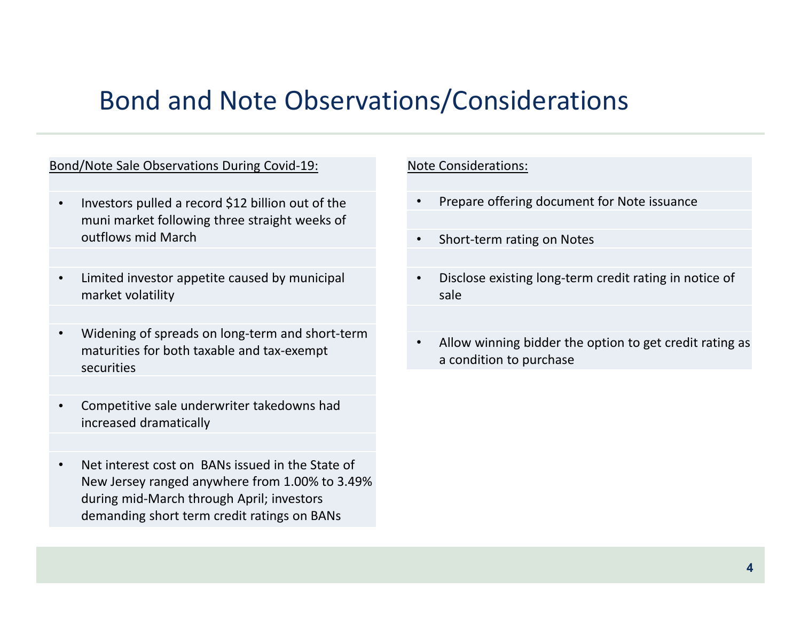### Bond and Note Observations/Considerations

### Bond/Note Sale Observations During Covid‐19:

- • Investors pulled a record \$12 billion out of the muni market following three straight weeks of outflows mid March
- • Limited investor appetite caused by municipal market volatility
- • Widening of spreads on long‐term and short‐term maturities for both taxable and tax‐exempt securities
- • Competitive sale underwriter takedowns had increased dramatically
- • Net interest cost on BANs issued in the State of New Jersey ranged anywhere from 1.00% to 3.49% during mid‐March through April; investors demanding short term credit ratings on BANs

#### Note Considerations:

- •Prepare offering document for Note issuance
- •Short‐term rating on Notes
- • Disclose existing long‐term credit rating in notice of sale
- • Allow winning bidder the option to get credit rating as a condition to purchase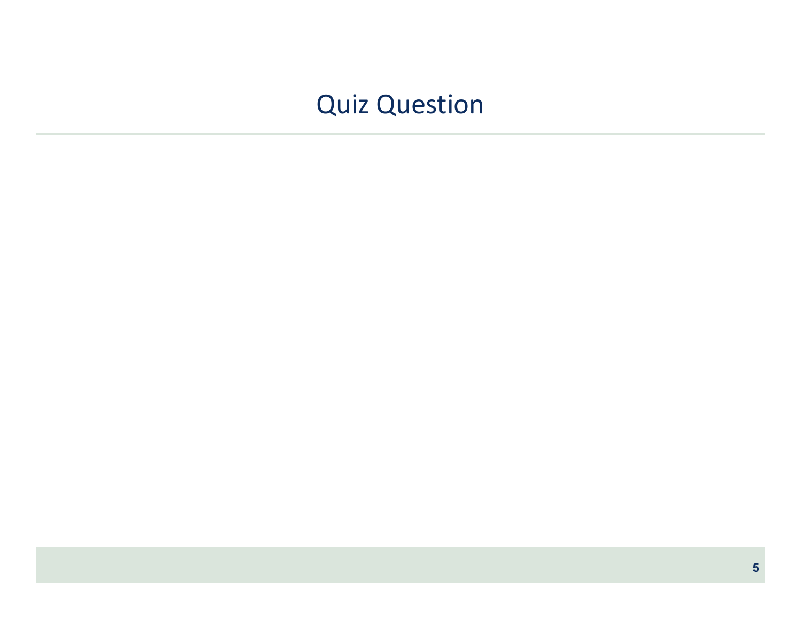## Quiz Question